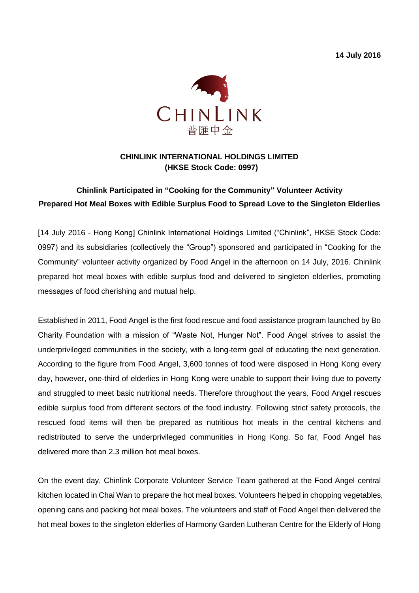**14 July 2016**



#### **CHINLINK INTERNATIONAL HOLDINGS LIMITED (HKSE Stock Code: 0997)**

# **Chinlink Participated in "Cooking for the Community" Volunteer Activity Prepared Hot Meal Boxes with Edible Surplus Food to Spread Love to the Singleton Elderlies**

[14 July 2016 - Hong Kong] Chinlink International Holdings Limited ("Chinlink", HKSE Stock Code: 0997) and its subsidiaries (collectively the "Group") sponsored and participated in "Cooking for the Community" volunteer activity organized by Food Angel in the afternoon on 14 July, 2016. Chinlink prepared hot meal boxes with edible surplus food and delivered to singleton elderlies, promoting messages of food cherishing and mutual help.

Established in 2011, Food Angel is the first food rescue and food assistance program launched by Bo Charity Foundation with a mission of "Waste Not, Hunger Not". Food Angel strives to assist the underprivileged communities in the society, with a long-term goal of educating the next generation. According to the figure from Food Angel, 3,600 tonnes of food were disposed in Hong Kong every day, however, one-third of elderlies in Hong Kong were unable to support their living due to poverty and struggled to meet basic nutritional needs. Therefore throughout the years, Food Angel rescues edible surplus food from different sectors of the food industry. Following strict safety protocols, the rescued food items will then be prepared as nutritious hot meals in the central kitchens and redistributed to serve the underprivileged communities in Hong Kong. So far, Food Angel has delivered more than 2.3 million hot meal boxes.

On the event day, Chinlink Corporate Volunteer Service Team gathered at the Food Angel central kitchen located in Chai Wan to prepare the hot meal boxes. Volunteers helped in chopping vegetables, opening cans and packing hot meal boxes. The volunteers and staff of Food Angel then delivered the hot meal boxes to the singleton elderlies of Harmony Garden Lutheran Centre for the Elderly of Hong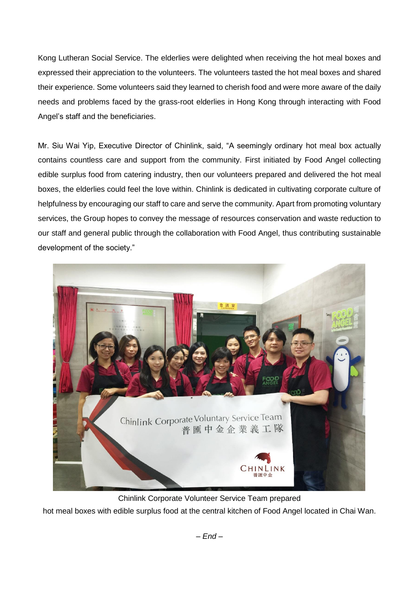Kong Lutheran Social Service. The elderlies were delighted when receiving the hot meal boxes and expressed their appreciation to the volunteers. The volunteers tasted the hot meal boxes and shared their experience. Some volunteers said they learned to cherish food and were more aware of the daily needs and problems faced by the grass-root elderlies in Hong Kong through interacting with Food Angel's staff and the beneficiaries.

Mr. Siu Wai Yip, Executive Director of Chinlink, said, "A seemingly ordinary hot meal box actually contains countless care and support from the community. First initiated by Food Angel collecting edible surplus food from catering industry, then our volunteers prepared and delivered the hot meal boxes, the elderlies could feel the love within. Chinlink is dedicated in cultivating corporate culture of helpfulness by encouraging our staff to care and serve the community. Apart from promoting voluntary services, the Group hopes to convey the message of resources conservation and waste reduction to our staff and general public through the collaboration with Food Angel, thus contributing sustainable development of the society."



Chinlink Corporate Volunteer Service Team prepared

hot meal boxes with edible surplus food at the central kitchen of Food Angel located in Chai Wan.